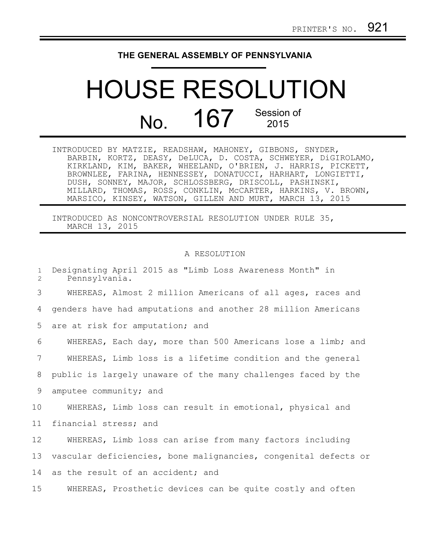## **THE GENERAL ASSEMBLY OF PENNSYLVANIA**

## HOUSE RESOLUTION No. 167 Session of

| INTRODUCED BY MATZIE, READSHAW, MAHONEY, GIBBONS, SNYDER,     |
|---------------------------------------------------------------|
| BARBIN, KORTZ, DEASY, DeLUCA, D. COSTA, SCHWEYER, DiGIROLAMO, |
| KIRKLAND, KIM, BAKER, WHEELAND, O'BRIEN, J. HARRIS, PICKETT,  |
| BROWNLEE, FARINA, HENNESSEY, DONATUCCI, HARHART, LONGIETTI,   |
| DUSH, SONNEY, MAJOR, SCHLOSSBERG, DRISCOLL, PASHINSKI,        |
| MILLARD, THOMAS, ROSS, CONKLIN, MCCARTER, HARKINS, V. BROWN,  |
| MARSICO, KINSEY, WATSON, GILLEN AND MURT, MARCH 13, 2015      |

INTRODUCED AS NONCONTROVERSIAL RESOLUTION UNDER RULE 35, MARCH 13, 2015

## A RESOLUTION

Designating April 2015 as "Limb Loss Awareness Month" in Pennsylvania. WHEREAS, Almost 2 million Americans of all ages, races and genders have had amputations and another 28 million Americans are at risk for amputation; and WHEREAS, Each day, more than 500 Americans lose a limb; and WHEREAS, Limb loss is a lifetime condition and the general public is largely unaware of the many challenges faced by the amputee community; and WHEREAS, Limb loss can result in emotional, physical and financial stress; and WHEREAS, Limb loss can arise from many factors including vascular deficiencies, bone malignancies, congenital defects or as the result of an accident; and WHEREAS, Prosthetic devices can be quite costly and often 1 2 3 4 5 6 7 8 9 10 11 12 13 14 15